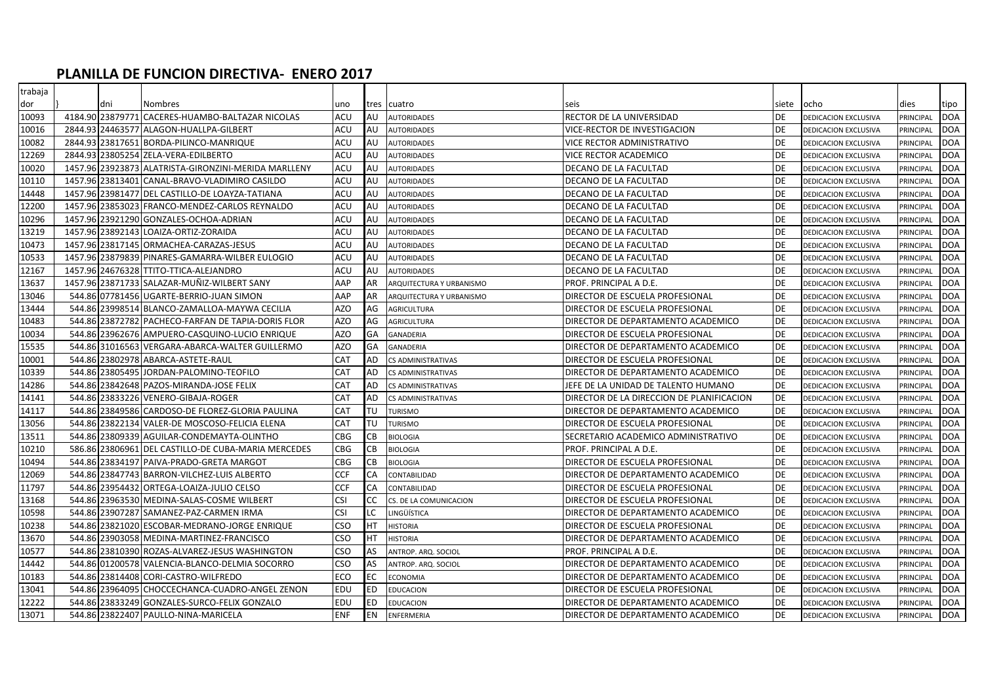## **PLANILLA DE FUNCION DIRECTIVA- ENERO 2017**

| trabaja |     |                                                      |            |           |                          |                                           |           |                      |           |            |
|---------|-----|------------------------------------------------------|------------|-----------|--------------------------|-------------------------------------------|-----------|----------------------|-----------|------------|
| dor     | dni | <b>Nombres</b>                                       | uno        |           | tres cuatro              | seis                                      | siete     | ocho                 | dies      | tipo       |
| 10093   |     | 4184.90 23879771 CACERES-HUAMBO-BALTAZAR NICOLAS     | ACU        | AU        | <b>AUTORIDADES</b>       | RECTOR DE LA UNIVERSIDAD                  | DE        | DEDICACION EXCLUSIVA | PRINCIPAL | <b>DOA</b> |
| 10016   |     | 2844.93 24463577 ALAGON-HUALLPA-GILBERT              | ACU        | AU        | <b>AUTORIDADES</b>       | VICE-RECTOR DE INVESTIGACION              | <b>DE</b> | DEDICACION EXCLUSIVA | PRINCIPAL | <b>DOA</b> |
| 10082   |     | 2844.93 23817651 BORDA-PILINCO-MANRIQUE              | ACU        | AU        | <b>AUTORIDADES</b>       | VICE RECTOR ADMINISTRATIVO                | <b>DE</b> | DEDICACION EXCLUSIVA | PRINCIPAL | <b>DOA</b> |
| 12269   |     | 2844.93 23805254 ZELA-VERA-EDILBERTO                 | ACU        | AU        | <b>AUTORIDADES</b>       | VICE RECTOR ACADEMICO                     | <b>DE</b> | DEDICACION EXCLUSIVA | PRINCIPAL | <b>DOA</b> |
| 10020   |     | 1457.96 23923873 ALATRISTA-GIRONZINI-MERIDA MARLLENY | ACU        | AU        | <b>AUTORIDADES</b>       | DECANO DE LA FACULTAD                     | <b>DE</b> | DEDICACION EXCLUSIVA | PRINCIPAL | <b>DOA</b> |
| 10110   |     | 1457.96 23813401 CANAL-BRAVO-VLADIMIRO CASILDO       | ACU        | AU        | AUTORIDADES              | DECANO DE LA FACULTAD                     | <b>DE</b> | DEDICACION EXCLUSIVA | PRINCIPAL | <b>DOA</b> |
| 14448   |     | 1457.96 23981477 DEL CASTILLO-DE LOAYZA-TATIANA      | ACU        | AU        | AUTORIDADES              | DECANO DE LA FACULTAD                     | <b>DE</b> | DEDICACION EXCLUSIVA | PRINCIPAL | <b>DOA</b> |
| 12200   |     | 1457.96 23853023 FRANCO-MENDEZ-CARLOS REYNALDO       | ACU        | AU        | <b>AUTORIDADES</b>       | DECANO DE LA FACULTAD                     | <b>DE</b> | DEDICACION EXCLUSIVA | PRINCIPAL | <b>DOA</b> |
| 10296   |     | 1457.96 23921290 GONZALES-OCHOA-ADRIAN               | ACU        | AU        | AUTORIDADES              | DECANO DE LA FACULTAD                     | <b>DE</b> | DEDICACION EXCLUSIVA | PRINCIPAL | <b>DOA</b> |
| 13219   |     | 1457.96 23892143 LOAIZA-ORTIZ-ZORAIDA                | <b>ACU</b> | AU        | <b>AUTORIDADES</b>       | DECANO DE LA FACULTAD                     | <b>DE</b> | DEDICACION EXCLUSIVA | PRINCIPAL | <b>DOA</b> |
| 10473   |     | 1457.96 23817145 ORMACHEA-CARAZAS-JESUS              | ACU        | AU        | <b>AUTORIDADES</b>       | DECANO DE LA FACULTAD                     | DE        | DEDICACION EXCLUSIVA | PRINCIPAL | <b>DOA</b> |
| 10533   |     | 1457.96 23879839 PINARES-GAMARRA-WILBER EULOGIO      | ACU        | AU        | <b>AUTORIDADES</b>       | DECANO DE LA FACULTAD                     | <b>DE</b> | DEDICACION EXCLUSIVA | PRINCIPAL | <b>DOA</b> |
| 12167   |     | 1457.96 24676328 TTITO-TTICA-ALEJANDRO               | ACU        | AU        | <b>AUTORIDADES</b>       | DECANO DE LA FACULTAD                     | DE        | DEDICACION EXCLUSIVA | PRINCIPAL | <b>DOA</b> |
| 13637   |     | 1457.96 23871733 SALAZAR-MUÑIZ-WILBERT SANY          | AAP        | AR        | ARQUITECTURA Y URBANISMO | PROF. PRINCIPAL A D.E.                    | <b>DE</b> | DEDICACION EXCLUSIVA | PRINCIPAL | <b>DOA</b> |
| 13046   |     | 544.86 07781456 UGARTE-BERRIO-JUAN SIMON             | AAP        | AR        | ARQUITECTURA Y URBANISMO | DIRECTOR DE ESCUELA PROFESIONAL           | DE        | DEDICACION EXCLUSIVA | PRINCIPAL | <b>DOA</b> |
| 13444   |     | 544.86 23998514 BLANCO-ZAMALLOA-MAYWA CECILIA        | <b>AZO</b> | AG        | AGRICULTURA              | DIRECTOR DE ESCUELA PROFESIONAL           | <b>DE</b> | DEDICACION EXCLUSIVA | PRINCIPAL | <b>DOA</b> |
| 10483   |     | 544.86 23872782 PACHECO-FARFAN DE TAPIA-DORIS FLOR   | <b>AZO</b> | AG        | AGRICULTURA              | DIRECTOR DE DEPARTAMENTO ACADEMICO        | <b>DE</b> | DEDICACION EXCLUSIVA | PRINCIPAL | <b>DOA</b> |
| 10034   |     | 544.86 23962676 AMPUERO-CASQUINO-LUCIO ENRIQUE       | <b>AZO</b> | GA        | GANADERIA                | DIRECTOR DE ESCUELA PROFESIONAL           | <b>DE</b> | DEDICACION EXCLUSIVA | PRINCIPAL | <b>DOA</b> |
| 15535   |     | 544.86 31016563 VERGARA-ABARCA-WALTER GUILLERMO      | AZO        | GA        | GANADERIA                | DIRECTOR DE DEPARTAMENTO ACADEMICO        | DE        | DEDICACION EXCLUSIVA | PRINCIPAL | <b>DOA</b> |
| 10001   |     | 544.86 23802978 ABARCA-ASTETE-RAUL                   | CAT        | AD        | CS ADMINISTRATIVAS       | DIRECTOR DE ESCUELA PROFESIONAL           | <b>DE</b> | DEDICACION EXCLUSIVA | PRINCIPAL | <b>DOA</b> |
| 10339   |     | 544.86 23805495 JORDAN-PALOMINO-TEOFILO              | CAT        | AD        | CS ADMINISTRATIVAS       | DIRECTOR DE DEPARTAMENTO ACADEMICO        | DE        | DEDICACION EXCLUSIVA | PRINCIPAL | <b>DOA</b> |
| 14286   |     | 544.86 23842648 PAZOS-MIRANDA-JOSE FELIX             | CAT        | AD        | CS ADMINISTRATIVAS       | JEFE DE LA UNIDAD DE TALENTO HUMANO       | DE        | DEDICACION EXCLUSIVA | PRINCIPAL | <b>DOA</b> |
| 14141   |     | 544.86 23833226 VENERO-GIBAJA-ROGER                  | CAT        | AD        | CS ADMINISTRATIVAS       | DIRECTOR DE LA DIRECCION DE PLANIFICACION | DE        | DEDICACION EXCLUSIVA | PRINCIPAL | <b>DOA</b> |
| 14117   |     | 544.86 23849586 CARDOSO-DE FLOREZ-GLORIA PAULINA     | CAT        | TU        | <b>TURISMO</b>           | DIRECTOR DE DEPARTAMENTO ACADEMICO        | <b>DE</b> | DEDICACION EXCLUSIVA | PRINCIPAL | <b>DOA</b> |
| 13056   |     | 544.86 23822134 VALER-DE MOSCOSO-FELICIA ELENA       | <b>CAT</b> | TU        | <b>TURISMO</b>           | DIRECTOR DE ESCUELA PROFESIONAL           | <b>DE</b> | DEDICACION EXCLUSIVA | PRINCIPAL | <b>DOA</b> |
| 13511   |     | 544.86 23809339 AGUILAR-CONDEMAYTA-OLINTHO           | CBG        | <b>CB</b> | <b>BIOLOGIA</b>          | SECRETARIO ACADEMICO ADMINISTRATIVO       | <b>DE</b> | DEDICACION EXCLUSIVA | PRINCIPAL | <b>DOA</b> |
| 10210   |     | 586.86 23806961 DEL CASTILLO-DE CUBA-MARIA MERCEDES  | <b>CBG</b> | <b>CB</b> | <b>BIOLOGIA</b>          | <b>PROF. PRINCIPAL A D.E.</b>             | DE        | DEDICACION EXCLUSIVA | PRINCIPAL | <b>DOA</b> |
| 10494   |     | 544.86 23834197 PAIVA-PRADO-GRETA MARGOT             | CBG        | CB        | <b>BIOLOGIA</b>          | DIRECTOR DE ESCUELA PROFESIONAL           | <b>DE</b> | DEDICACION EXCLUSIVA | PRINCIPAL | <b>DOA</b> |
| 12069   |     | 544.86 23847743 BARRON-VILCHEZ-LUIS ALBERTO          | <b>CCF</b> | CA        | CONTABILIDAD             | DIRECTOR DE DEPARTAMENTO ACADEMICO        | DE        | DEDICACION EXCLUSIVA | PRINCIPAL | <b>DOA</b> |
| 11797   |     | 544.86 23954432 ORTEGA-LOAIZA-JULIO CELSO            | CCF        | CA        | CONTABILIDAD             | DIRECTOR DE ESCUELA PROFESIONAL           | <b>DE</b> | DEDICACION EXCLUSIVA | PRINCIPAL | <b>DOA</b> |
| 13168   |     | 544.86 23963530 MEDINA-SALAS-COSME WILBERT           | <b>CSI</b> | <b>CC</b> | CS. DE LA COMUNICACION   | DIRECTOR DE ESCUELA PROFESIONAL           | <b>DE</b> | DEDICACION EXCLUSIVA | PRINCIPAL | <b>DOA</b> |
| 10598   |     | 544.86 23907287 SAMANEZ-PAZ-CARMEN IRMA              | <b>CSI</b> | LC        | LINGÜÍSTICA              | DIRECTOR DE DEPARTAMENTO ACADEMICO        | <b>DE</b> | DEDICACION EXCLUSIVA | PRINCIPAL | <b>DOA</b> |
| 10238   |     | 544.86 23821020 ESCOBAR-MEDRANO-JORGE ENRIQUE        | <b>CSO</b> | HT        | HISTORIA                 | DIRECTOR DE ESCUELA PROFESIONAL           | <b>DE</b> | DEDICACION EXCLUSIVA | PRINCIPAL | <b>DOA</b> |
| 13670   |     | 544.86 23903058 MEDINA-MARTINEZ-FRANCISCO            | <b>CSO</b> | HT        | <b>HISTORIA</b>          | DIRECTOR DE DEPARTAMENTO ACADEMICO        | <b>DE</b> | DEDICACION EXCLUSIVA | PRINCIPAL | <b>DOA</b> |
| 10577   |     | 544.86 23810390 ROZAS-ALVAREZ-JESUS WASHINGTON       | <b>CSO</b> | AS        | ANTROP. ARQ. SOCIOL      | PROF. PRINCIPAL A D.E.                    | DE        | DEDICACION EXCLUSIVA | PRINCIPAL | <b>DOA</b> |
| 14442   |     | 544.861012005781VALENCIA-BLANCO-DELMIA SOCORRO       | CSO        | AS        | ANTROP. ARQ. SOCIOL      | DIRECTOR DE DEPARTAMENTO ACADEMICO        | <b>DE</b> | DEDICACION EXCLUSIVA | PRINCIPAL | <b>DOA</b> |
| 10183   |     | 544.86 23814408 CORI-CASTRO-WILFREDO                 | ECO        | EC        | <b>CONOMIA</b>           | DIRECTOR DE DEPARTAMENTO ACADEMICO        | DE        | DEDICACION EXCLUSIVA | PRINCIPAL | <b>DOA</b> |
| 13041   |     | 544.86 23964095 CHOCCECHANCA-CUADRO-ANGEL ZENON      | EDU        | ED        | EDUCACION                | DIRECTOR DE ESCUELA PROFESIONAL           | <b>DE</b> | DEDICACION EXCLUSIVA | PRINCIPAL | <b>DOA</b> |
| 12222   |     | 544.86 23833249 GONZALES-SURCO-FELIX GONZALO         | EDU        | ED        | EDUCACION                | DIRECTOR DE DEPARTAMENTO ACADEMICO        | DE        | DEDICACION EXCLUSIVA | PRINCIPAL | <b>DOA</b> |
| 13071   |     | 544.86 23822407 PAULLO-NINA-MARICELA                 | <b>ENF</b> | ΕN        | <b>ENFERMERIA</b>        | DIRECTOR DE DEPARTAMENTO ACADEMICO        | <b>DE</b> | DEDICACION EXCLUSIVA | PRINCIPAL | <b>DOA</b> |